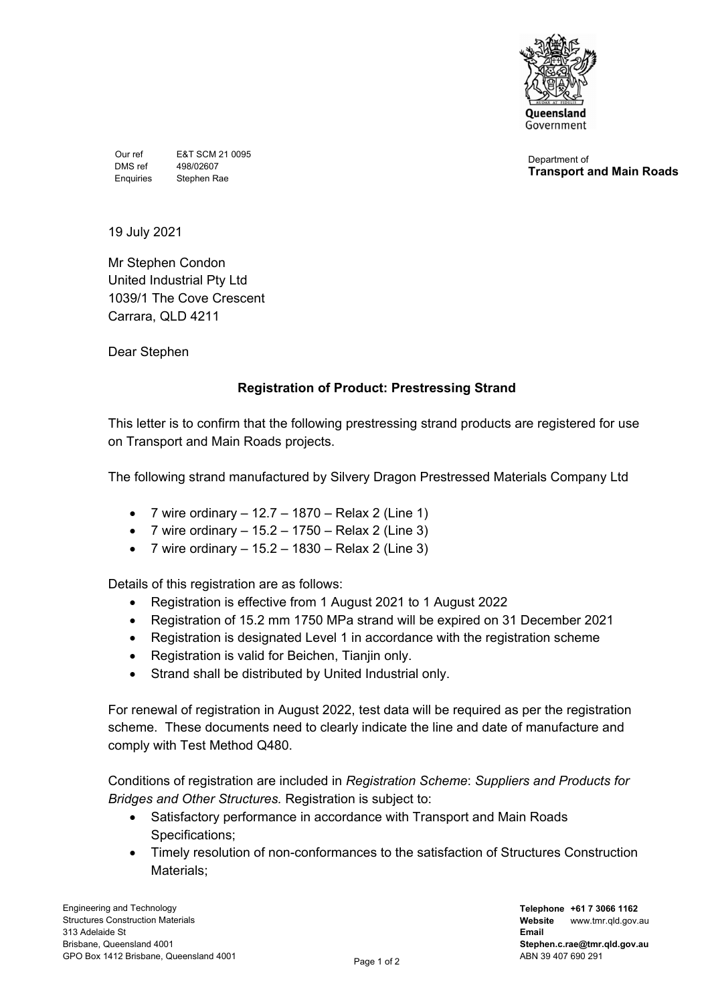

Our ref E&T SCM 21 0095 DMS ref 498/02607 Enquiries Stephen Rae

Department of **Transport and Main Roads**

19 July 2021

Mr Stephen Condon United Industrial Pty Ltd 1039/1 The Cove Crescent Carrara, QLD 4211

Dear Stephen

## **Registration of Product: Prestressing Strand**

This letter is to confirm that the following prestressing strand products are registered for use on Transport and Main Roads projects.

The following strand manufactured by Silvery Dragon Prestressed Materials Company Ltd

- 7 wire ordinary  $-12.7 1870 -$  Relax 2 (Line 1)
- 7 wire ordinary  $-15.2 1750 -$ Relax 2 (Line 3)
- 7 wire ordinary 15.2 1830 Relax 2 (Line 3)

Details of this registration are as follows:

- Registration is effective from 1 August 2021 to 1 August 2022
- Registration of 15.2 mm 1750 MPa strand will be expired on 31 December 2021
- Registration is designated Level 1 in accordance with the registration scheme
- Registration is valid for Beichen, Tianjin only.
- Strand shall be distributed by United Industrial only.

For renewal of registration in August 2022, test data will be required as per the registration scheme. These documents need to clearly indicate the line and date of manufacture and comply with Test Method Q480.

Conditions of registration are included in *Registration Scheme*: *Suppliers and Products for Bridges and Other Structures.* Registration is subject to:

- Satisfactory performance in accordance with Transport and Main Roads Specifications;
- Timely resolution of non-conformances to the satisfaction of Structures Construction Materials;